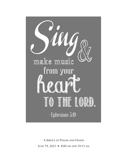

A SERVICE OF PSALMS AND HYMNS JUNE 19, 2022 ✠ 8:00 AM AND 10:15 AM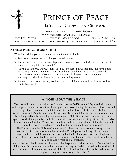

# **PRINCE OF PEACE**

### **LUTHERAN CHURCH AND SCHOOL**

**WWW.POPSLC.ORG 801-261-3808 WWW.FACEBOOK.COM/POPLUTHERANSLC** 

TYLER PEIL, PASTOR TYLER.PEIL@POPSLC.ORG CELL: 402.936.3655 **MICHAEL PAULSEN, PRINCIPAL MIKE.PAULSEN@POPSCHOOL.ORG CELL: 262.490.4772**

### **A SPECIAL WELCOME TO OUR GUESTS!**

We're thrilled that you are here and we want you to feel at home.

- $*$  Restrooms are near the door that you came in today.
- ✴ The service is printed in this worship folder. Join in as your comfortable. Ask anyone if you're lost - they'll be glad to help!
- ✴ We're glad you brought your kids! We know and Jesus knows that little kids have a hard time sitting quietly sometimes. They are still welcome here. Jesus said: Let the little children come to me! If your little one is restless, feel free to spend a minute in the entryway, you should still be able to hear through speakers.
- $*$  If you could use some hearing assistance, please ask the usher in the entryway, we have headsets available.

### **A NOTE ABOUT THIS SERVICE**

The book of Psalms is often called the "hymnbook of the Old Testament." Expressed within are a wide range of human emotions: fear, shame, guilt, depression, feeling attacked and betrayed, as well as great joy, contentment, and delight in God and his love, protection, and salvation. Martin Luther said of the Psalms: "It might well be called a little Bible. In it is comprehended most beautifully and briefly everything that is in the entire Bible. Beyond that, it presents the best of expressions which the psalmists used when they talked to God himself with great earnestness and on the most important matters. We can look into their hearts and see what kind of thoughts they had, how their hearts were disposed, and how they acted in all kinds of situations." The Psalter reflects the Christian Church since Old Testament times even until today. Luther continues: "If you want to see the holy Christian Church painted in living color and shape, comprehended in one little picture, then take up the Psalter. There you have a fine, bright, pure mirror that will show you what Christendom is. Indeed you will find in it also yourself, your true self,

as well as God himself and all creatures."

JUNE 19, 2022 - PAGE 2 And Luther describes how we are blessed to echo the psalmists: "The Psalter is the favorite book of all the saints. Each person, whatever his circumstances may be, finds in the psalms the words which are appropriate to the circumstances in which he finds himself and meet his needs as adequately as if they were composed exclusively for his sake…"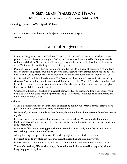### **A SERVICE OF PSALMS AND HYMNS**

*The congregation speaks and sings the words in BOLD type.* 

#### **Opening Hymn | 633 Speak, O Lord**

*Stand*

In the name of the Father and of the  $+$  Son and of the Holy Spirit. **Amen.**

## Psalms of Forgiveness

Psalms of Forgiveness such as Psalm 6, 32, 38, 51, 102, 130, and 143 are also called penitential psalms. We stand before an almighty God against whom we have sinned by thoughts, words, actions, and desires. God alone is able to forgive us and because of His love for us He always does. We thank him for the forgiveness that He gives.

Psalm 38 was written by the Old Testament King David. He is aware of his many sins and feels that he is suffering because God is angry with him. Because of the tremendous burdens he feels, he asks the Lord to remove these afflictions and to assure him again that he is loved by God.

In this psalm David lists three burdens: The first is the physical weakness and pain caused by sickness. The second is the spiritual anguish his sins bring him. The third burden is the betrayal by his friends and relatives, even his own sons. David expresses the confidence that God gives him. God will deliver him in due time.

Christians at times feel crushed by physical pain, spiritual anguish, and trouble in relationships. But, like David, we cling to God's promises and pray fervently to him for relief in the time and hour which he knows best.

#### **Psalm 38**

O Lord, do not rebuke me in your anger or discipline me in your wrath. For your arrows have pierced me, and your hand has come down upon me.

**Because of your wrath there is no health in my body; my bones have no soundness because of my sin.**

My guilt has overwhelmed me like a burden too heavy to bear. My wounds fester and are loathsome because of my sinful folly. I am bowed down and brought very low; all day long I go about mourning.

#### **My back is filled with searing pain; there is no health in my body. I am feeble and utterly crushed; I groan in anguish of heart.**

All my longings lie open before you, O Lord; my sighing is not hidden from you.

**My heart pounds, my strength fails me; even the light has gone from my eyes.**

My friends and companions avoid me because of my wounds; my neighbors stay far away.

**Those who seek my life set their traps, those who would harm me talk of my ruin; all day long they plot deception.**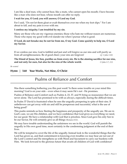I am like a deaf man, who cannot hear, like a mute, who cannot open his mouth; I have become like a man who does not hear, whose mouth can offer no reply.

#### **I wait for you, O Lord; you will answer, O Lord my God.**

For I said, "Do not let them gloat or exalt themselves over me when my foot slips." For I am about to fall, and my pain is ever with me.

#### **I confess my iniquity; I am troubled by my sin.**

Many are those who are my vigorous enemies; those who hate me without reason are numerous. Those who repay my good with evil slander me when I pursue what is good.

#### **O Lord, do not forsake me; be not far from me, O my God. Come quickly to help me, O Lord my Savior.**

If we confess our sins, God is faithful and just and will forgive us our sins and will purify us from all unrighteousness. Be of good cheer; your sins are forgiven! *(cf. 1 John 1:10)*

**The blood of Jesus, his Son, purifies us from every sin. He is the atoning sacrifice for our sins, and not only for ours, but also for the sins of the whole world.** *(1 John 1:7, 2:2)*

*Be seated*

#### **Hymn | 560 Your Works, Not Mine, O Christ**

### Psalms of Reliance and Comfort

Was there something bothering you this past week? Is there some trouble on your mind this morning? God is on your side – even when it may seem He's not - He promises.

Psalms of Reliance and Comfort such as Psalms 4, 23, 37, and 91 bring us reassurance that we are never alone. The Lord has promised to be with us always, especially during the difficult times.

In Psalm 37 David is frustrated when he sees the ungodly prospering in spite of their sins. If unbelievers can get away with sin and still be prosperous and successful, what is the use of being good?

This psalm reminds us how fleeting the happiness and prosperity of the ungodly are. We are in God's care, we are His children, and we have confidence that God gives us everything we need, for our good. We have a relationship with God that is priceless. Since God gave his only Son to be our Savior, He will certainly give us all things *(Romans 8:32)*.

We may have trouble understanding the unfairness we see in the world. God will punish the ungodly in His own good time, most certainly in the condemning judgment at the end of their lives.

We will be tempted to covet the life of the ungodly. Instead look to the wonderful things that the Lord has given us, and find contentment in knowing even troubles we may bear are not out of the Lord's control and He strengthens us with Word and Sacrament to carry our burdens with Him. We look forward to the glorious future that awaits all children of God with confidence!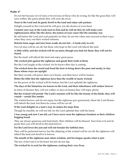#### **Psalm 37**

Do not fret because of evil men or be envious of those who do wrong; for like the grass they will soon wither, like green plants they will soon die away.

#### **Trust in the Lord and do good; dwell in the land and enjoy safe pasture.**

Delight yourself in the Lord and he will give you the desires of your heart.

#### **Commit your way to the Lord; trust in him and he will do this: he will make your righteousness shine like the dawn, the justice of your cause like the noonday sun.**

Be still before the Lord and wait patiently for him; do not fret when men succeed in their ways, when they carry out their wicked schemes.

#### **Refrain from anger and turn from wrath; do not fret – it leads only to evil.**

For evil men will be cut off, but those who hope in the Lord will inherit the land.

#### **A little while, and the wicked will be no more; though you look for them, they will not be found.**

But the meek will inherit the land and enjoy great peace.

**The wicked plot against the righteous and gnash their teeth at them;** 

But the Lord laughs at the wicked, for he knows their day is coming.

#### **The wicked draw the sword and bend the bow to bring down the poor and needy, to slay those whose ways are upright.**

But their swords will pierce their own hearts, and their bows will be broken.

**Better the little that the righteous have than the wealth of many wicked;** 

for the power of the wicked will be broken, but the Lord upholds the righteous.

#### **The days of the blameless are known to the Lord, and their inheritance will endure forever.**

In times of disaster they will not wither; in days of famine they will enjoy plenty.

#### **But the wicked will perish: The Lord's enemies will be like the beauty of the fields, they will vanish – vanish like smoke.**

The wicked borrow and do not repay, but the righteous give generously; those the Lord blesses will inherit the land, but those he curses will be cut off.

#### **If the Lord delights in a man's way, he makes his steps firm;**

Though he stumble, he will not fall, for the Lord upholds him with his hand.

#### **I was young and now I am old, yet I have never seen the righteous forsaken or their children begging bread.**

They are always generous and lend freely; their children will be blessed. Turn from evil and do good; then you will dwell in the land forever.

#### **For the Lord loves the just and will not forsake his faithful ones.**

They will be protected forever, but the offspring of the wicked will be cut off; the righteous will inherit the land and dwell in it forever.

#### **The mouth of the righteous man utters wisdom, and his tongue speaks what is just.**

The law of his God is in his heart; his feet do not slip.

#### **The wicked lie in wait for the righteous, seeking their very lives;**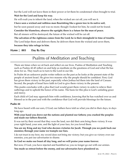but the Lord will not leave them in their power or let them be condemned when brought to trial. **Wait for the Lord and keep his way.** 

He will exalt you to inherit the land; when the wicked are cut off, you will see it.

**I have seen a wicked and ruthless man flourishing like a green tree in its native soil,** 

but he soon passed away and was no more; though I looked for him, he could not be found.

**Consider the blameless, observe the upright; there is a future for the man of peace.** 

But all sinners will be destroyed; the future of the wicked will be cut off.

**The salvation of the righteous comes from the Lord; he is their stronghold in time of trouble.**  The Lord helps them and delivers them; he delivers them from the wicked and saves them, **because they take refuge in him.**

**Hymn | 803 Day By Day**

### Psalms of Meditation and Teaching

There are times when we sit back and reflect on our lives. Psalms of Meditation and Teaching such as Psalms 42-45 reflect on and help us meditate on the greatness of God and what He has done for us. They teach us to turn to the Lord in our life.

In Psalm 44 an unknown psalm writer reflects on the past as he looks at the present state of the people of ancient Israel. He gives two reasons why the people should be confident. First, God has given them victory in the past, especially when Joshua led them into the land of Canaan. Second, the people of Israel have faith in God to give them victory in the present.

This psalm concludes with a plea that God would grant them victory in order to relieve their sufferings and to uphold the honor of his name. The basis for this plea is God's unfailing grace and mercy.

Each child of God may approach him with confidence, knowing that he has watched over us and blessed us in the past and with the confidence that God will provide blessings for the future.

#### **Psalm 44**

We have heard with our ears, O God; our fathers have told us what you did in their days, in days long ago.

#### **With your hand you drove out the nations and planted our fathers; you crushed the peoples and made our fathers flourish.**

It was not by their sword that they won the land, nor did their arm bring them victory. It was your right hand, your arm, and the light of your face, for you loved them.

#### **You are my King and my God who decrees victories for Jacob. Through you we push back our enemies; through your name we trample our foes.**

I do not trust in my bow, my sword does not bring me victory; but you give us victory over our enemies, you put our adversaries to shame.

#### **In God we make our boast all day long, and we will praise your name forever.**

But now, O God, you have rejected and humbled us; you no longer go out with our armies.

**You made us retreat before the enemy, and our adversaries have plundered us.**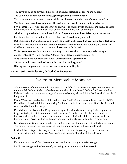You gave us up to be devoured like sheep and have scattered us among the nations.

#### **You sold your people for a pittance, gaining nothing from their sale.**

You have made us a reproach to our neighbors, the scorn and derision of those around us.

#### **You have made us a byword among the nations; the peoples shake their heads at us.**

My disgrace is before me all day long, and my face is covered with shame at the taunts of those who reproach and revile me, because of the enemy who is bent on revenge.

#### **All this happened to us, though we had not forgotten you or been false to your covenant.**

Our hearts had not turned back; our feet had not strayed from your path.

#### **But you crushed us and made us a haunt for jackals and covered us over with deep darkness**. If we had forgotten the name of our God or spread out our hands to a foreign god, would not

God have discovered it, since he knows the secrets of the heart?

**Yet for your sake we face death all day long; we are considered as sheep to be slaughtered.**

Awake, O Lord! Why do you sleep? Rouse yourself! Do not reject us forever.

#### **Why do you hide your face and forget our misery and oppression?**

We are brought down to the dust; our bodies cling to the ground.

**Rise up and help us; redeem us because of your unfailing love.**

#### **Hymn | 609 We Praise You, O God, Our Redeemer**

### Psalms of Memorable Moments

What are some of the memorable moments of your life? What makes those particular moments memorable? Psalms of Memorable Moments such as Psalm 16 and Psalms 56-60 are called in Hebrew "a choice piece, a jewel, a gem" – memorable ways in which the Lord touched the life of the psalmists.

Psalm 57 was written by the prolific psalm writer David after a memorable moment in his life. David had refused to kill his enemy King Saul when he had the chance and David is still "on the run" from Saul and his army.

David describes his enemies, King Saul's army, as ferocious beasts, tearing their prey, and as trappers, trying to catch an animal. David promises to praise God after he has been delivered. He is confident that, even though he has spared Saul's life, God will keep him safe until he becomes king. David has this confidence because God is always faithful to his promises.

David compares God's protection to the sheltering wings of a mother bird protecting her young. The bird's wings convey God's soaring majesty and power as well as intimate shelter.

God will keep his promises to you – the promises he made to you at your Baptism and in Scripture. Cling to his promises. And praise God because of his faithfulness to you.

#### **Psalm 57**

Have mercy on me, O God, have mercy on me, for in you my soul takes refuge.

**I will take refuge in the shadow of your wings until the disaster has passed.**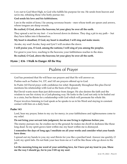I cry out to God Most High, to God who fulfills his purpose for me. He sends from heaven and saves me, rebuking those who hotly pursue me;

#### **God sends his love and his faithfulness.**

I am in the midst of lions; I lie among ravenous beasts – men whose teeth are spears and arrows, whose tongues are sharp swords.

#### **Be exalted, O God, above the heavens; let your glory be over all the earth.**

They spread a net for my feet – I was bowed down in distress. They dug a pit in my path – but they have fallen into it themselves.

#### **My heart is steadfast, O God, my heart is steadfast; I will sing and make music.**

Awake, my soul! Awake, harp and lyre! I will awaken the dawn.

#### **I will praise you, O Lord, among the nations; I will sing of you among the peoples.**

For great is your love, reaching to the heavens; your faithfulness reaches to the skies.

**Be exalted, O God, above the heavens; let your glory be over all the earth.**

#### **Hymn | 836 I Walk In Danger All the Way**

### Psalms of Prayer

God has promised that He will hear our prayers and that He will answer us.

Psalms such as Psalms 3-6, 137, and 143 are prayers offered up to God.

In Psalm 143 David prays with confidence for relief. Repeatedly throughout this plea David mentions his relationship with God as the basis of his prayer.

But David wants more than just deliverance from danger. He also desires the faith and the wisdom to use his victory in a God-pleasing way. He looks to the Lord not only to be bailed out in a crisis, but he thirsts for a relationship with God which will permeate his whole life.

Prayer involves listening to God speak as he speaks to us in his Word and staying in constant contact with him on a daily basis.

#### **Psalm 143**

Lord, hear my prayer, listen to my cry for mercy; in your faithfulness and righteousness come to my relief.

#### **Do not bring your servant into judgment, for no one living is righteous before you.**

The enemy pursues me, he crushes me to the ground; he makes me dwell in darkness like those long dead. So my spirit grows faint within me; my heart within me is dismayed.

#### **I remember the days of long ago; I meditate on all your works and consider what your hands have done.**

I spread out my hands to you; my soul thirsts for you like a parched land. Answer me quickly, O Lord; my spirit fails. Do not hide your face from me or I will be like those who go down to the pit.

**Let the morning bring me word of your unfailing love, for I have put my trust in you. Show me the way I should go, for to you I lift up my soul.**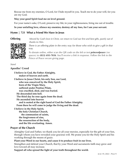Rescue me from my enemies, O Lord, for I hide myself in you. Teach me to do your will, for you are my God;

#### **May your good Spirit lead me on level ground.**

For your name's sake, O Lord, preserve my life; in your righteousness, bring me out of trouble.

**In your unfailing love, silence my enemies; destroy all my foes, for I am your servant.**

#### **Hymn | 721 What a Friend We Have in Jesus**

**Offering** *Moved by God's love in Christ, we return to God our first and best gifts, purely out of thanks to Him.* 

> *There is an offering plate in the entry way for those who wish to give a gift in that way.*

*To donate online, either scan the QR code on the left or text princeofpeace (no spaces) to (833) 693-7056. You'll receive a link in response. Follow the link to the Prince of Peace secure giving page.*

#### *Stand*

#### **Apostles' Creed**

**I believe in God, the Father Almighty, maker of heaven and earth.**

**I believe in Jesus Christ, his only Son, our Lord, who was conceived by the Holy Spirit, born of the Virgin Mary, suffered under Pontius Pilate, was crucified, died, and was buried. He descended into hell. The third day he rose again from the dead. He ascended into heaven and is seated at the right hand of God the Father Almighty. From there he will come to judge the living and the dead.**

**I believe in the Holy Spirit,**

 **the holy Christian Church, the communion of saints, the forgiveness of sins, the resurrection of the body, and the life everlasting. Amen.**

#### **Prayer of the Church**

Almighty God and Father, we thank you for all your mercies, especially for the gift of your Son, through whom you have revealed your gracious will. We praise you for the Holy Spirit and his working through the means of grace.

#### **Plant your Word in our hearts, and cause it to produce fruit in our lives.**

Strengthen and defend your Church, that by your Word and sacraments faith may grow and love toward all may increase.

**Support all who spread the light of your truth throughout the world.**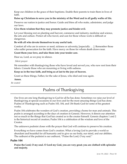Keep our children in the grace of their baptisms. Enable their parents to train them in lives of faith.

#### **Raise up Christians to serve you in the ministry of the Word and in all godly walks of life.**

Preserve our nation in justice and honor. Guide and bless all who make, administer, and judge our laws.

#### **Give them wisdom that they may promote justice and hinder evil.**

Let your blessing rest on planting and harvest, commerce and industry, medicine and science, the arts and culture. Protect all who travel, and care for those whose work is difficult or dangerous.

#### **Be with all who devote themselves to any useful task.**

Comfort all who are in sorrow or need, sickness or adversity, [especially . . .]. Remember those who suffer persecution for the faith. Have mercy on those for whom death draws near.

#### **Grant them your love, and take them into your tender care.**

Hear us, Lord, as we pray in silence.

#### *Silent prayer*

We remember with thanksgiving those who have loved and served you, who now rest from their labors. Console those who are mourning or living with sadness.

#### **Keep us in the true faith, and bring us at last to the joys of heaven.**

Grant us these things, Father, for the sake of Jesus, who died and rose again.

#### **Amen.**

*Be seated*

### Psalms of Thanksgiving

Our lives are one long thanksgiving to God for all he has done. Sometimes we raise our level of thanksgiving at special occasions in our lives and for the most amazing things God has done. Psalms of Thanksgiving such as Psalm 103, 104, and 136 thank God for some of his greatest works.

Psalm 104 celebrates the wonders of God's creation, providing a home for man and animals. This psalm is arranged according to the days of creation in Genesis. However, it directs our attention not so much to the things that God has created as to the creator himself. Genesis chapters 1 and 2 is the historical record of creation; Psalm 104 is a celebration of the wisdom and love of the Creator.

The unknown psalmist closes with the prayer that God will continue to preserve his creation.

Everything we have comes from God's creation. What a loving God to provide a world so abundant and beautiful for all humanity and to give us our body, our mind, and our abilities. The outburst of the psalmist is our outburst, "Praise the Lord, O my soul."

#### **Psalm 104**

**Praise the Lord, O my soul. O Lord my God, you are very great; you are clothed with splendor and majesty.**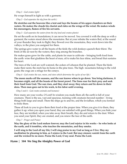*(Day 1 - God creates light)*

He wraps himself in light as with a garment;

*(Day 2 - God separates the sky from the earth.)*

#### **He stretches out the heavens like a tent and lays the beams of his upper chambers on their waters. He makes the clouds his chariot and rides on the wings of the wind. He makes winds his messengers, flames of fire his servants.**

#### *(Day 3 - God separates the waters from the dry land and creates plants)*

He set the earth on its foundations; it can never be moved. You covered it with the deep as with a garment; the waters stood above the mountains. But at your rebuke the waters fled, at the sound of your thunder they took to flight; they flowed over the mountains, they went down into the valleys, to the place you assigned for them.

The springs give water to all the beasts of the field; the wild donkeys quench their thirst. The birds of the air nest by the waters; they sing among the branches.

He makes grass grow for the cattle, and plants for man to cultivate – bringing forth food from the earth: wine that gladdens the heart of man, oil to make his face shine, and bread that sustains his heart.

The trees of the Lord are well watered, the cedars of Lebanon that he planted. There the birds make their nests; the stork has its home in the pine trees. The high mountains belong to the wild goats; the crags are a refuge for the coneys.

*(Day 4 - God creates the sun, moon, and stars which determine the cycles of our life.)*

**The moon marks off the seasons, and the sun knows when to go down. You bring darkness, it becomes night, and all the beasts of the forest prowl. The lions roar for their prey and seek their food from God. The sun rises, and they steal away; they return and lie down in their dens. Then man goes out to his work, to his labor until evening.**

*(Day 5 and 6 - God creates animals and humans)*

How many are your works, O Lord! In wisdom you made them all; the earth is full of your creatures. There is the sea, vast and spacious, teeming with creatures beyond number – living things both large and small. There the ships go to and fro, and the leviathan, which you formed to frolic there.

These all look to you to give them their food at the proper time. When you give it to them, they gather it up; when you open your hand, they are satisfied with good things. When you hide your face, they are terrified; when you take away their breath, they die and return to the dust. When you send your Spirit, they are created, and you renew the face of the earth.

*(Day 7 - Prayer and Praise)* 

**May the glory of the Lord endure forever; may the Lord rejoice in his works – he who looks at the earth, and it trembles, who touches the mountains, and they smoke.**

**I will sing to the Lord all my life; I will sing praise to my God as long as I live. May my meditation be pleasing to him, as I rejoice in the Lord. But may sinners vanish from the earth and the wicked be no more. Praise the Lord, O my soul. Praise the Lord.**

**Hymn | 504 We Sing the Almighty Power of God**